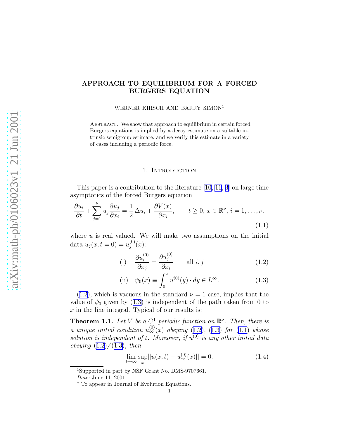# <span id="page-0-0"></span>APPROACH TO EQUILIBRIUM FOR A FORCED BURGERS EQUATION

WERNER KIRSCH AND BARRY SIMON<sup>1</sup>

Abstract. We show that approach to equilibrium in certain forced Burgers equations is implied by a decay estimate on a suitable intrinsic semigroup estimate, and we verify this estimate in a variety of cases including a periodic force.

## 1. Introduction

This paper is a contribution to the literature [\[10](#page-8-0), [11](#page-8-0), [3\]](#page-7-0) on large time asymptotics of the forced Burgers equation

$$
\frac{\partial u_i}{\partial t} + \sum_{j=1}^{\nu} u_j \frac{\partial u_j}{\partial x_i} = \frac{1}{2} \Delta u_i + \frac{\partial V(x)}{\partial x_i}, \qquad t \ge 0, \ x \in \mathbb{R}^{\nu}, \ i = 1, \dots, \nu,
$$
\n(1.1)

where  $u$  is real valued. We will make two assumptions on the initial data  $u_j(x, t = 0) = u_j^{(0)}$  $j^{(0)}(x)$ :

(i) 
$$
\frac{\partial u_i^{(0)}}{\partial x_j} = \frac{\partial u_j^{(0)}}{\partial x_i} \quad \text{all } i, j
$$
 (1.2)

(ii) 
$$
\psi_0(x) \equiv \int_0^x \vec{u}^{(0)}(y) \cdot dy \in L^{\infty}.
$$
 (1.3)

 $(1.2)$ , which is vacuous in the standard  $\nu = 1$  case, implies that the value of  $\psi_0$  given by (1.3) is independent of the path taken from 0 to  $x$  in the line integral. Typical of our results is:

**Theorem 1.1.** Let V be a  $C^1$  periodic function on  $\mathbb{R}^{\nu}$ . Then, there is a unique initial condition  $u_{\infty}^{(0)}(x)$  obeying (1.2), (1.3) for (1.1) whose solution is independent of t. Moreover, if  $u^{(0)}$  is any other initial data *obeying*  $(1.2)/(1.3)$ , then

$$
\lim_{t \to \infty} \sup_x [|u(x, t) - u_{\infty}^{(0)}(x)]| = 0.
$$
\n(1.4)

<sup>1</sup>Supported in part by NSF Grant No. DMS-9707661.

Date: June 11, 2001.

<sup>∗</sup> To appear in Journal of Evolution Equations.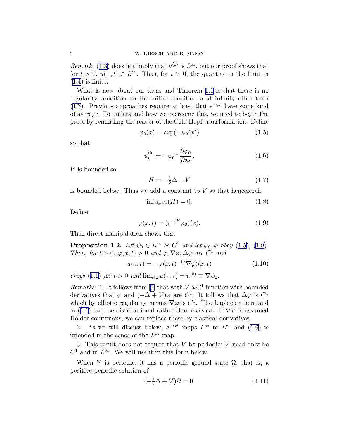*Remark.* ([1.3\)](#page-0-0) does not imply that  $u^{(0)}$  is  $L^{\infty}$ , but our proof shows that for  $t > 0$ ,  $u(\cdot, t) \in L^{\infty}$ . Thus, for  $t > 0$ , the quantity in the limit in  $(1.4)$  $(1.4)$  is finite.

What is new about our ideas and Theorem [1.1](#page-0-0) is that there is no regularity condition on the initial condition  $u$  at infinity other than [\(1.3](#page-0-0)). Previous approaches require at least that  $e^{-\psi_0}$  have some kind of average. To understand how we overcome this, we need to begin the proof by reminding the reader of the Cole-Hopf transformation. Define

$$
\varphi_0(x) = \exp(-\psi_0(x))\tag{1.5}
$$

so that

$$
u_i^{(0)} = -\varphi_0^{-1} \frac{\partial \varphi_0}{\partial x_i}.
$$
\n(1.6)

V is bounded so

$$
H = -\frac{1}{2}\Delta + V\tag{1.7}
$$

is bounded below. Thus we add a constant to  $V$  so that henceforth

$$
\inf \operatorname{spec}(H) = 0. \tag{1.8}
$$

Define

$$
\varphi(x,t) = (e^{-tH}\varphi_0)(x). \tag{1.9}
$$

Then direct manipulation shows that

**Proposition 1.2.** Let  $\psi_0 \in L^{\infty}$  be  $C^1$  and let  $\varphi_0, \varphi$  obey (1.5), (1.9). Then, for  $t > 0$ ,  $\varphi(x, t) > 0$  and  $\varphi$ ,  $\nabla \varphi$ ,  $\Delta \varphi$  are  $C^1$  and

$$
u(x,t) = -\varphi(x,t)^{-1}(\nabla\varphi)(x,t)
$$
\n(1.10)

obeys ([1.1\)](#page-0-0) for  $t > 0$  and  $\lim_{t \downarrow 0} u(\cdot, t) = u^{(0)} \equiv \nabla \psi_0$ .

*Remarks.*1. It follows from [[9\]](#page-8-0) that with  $V$  a  $C<sup>1</sup>$  function with bounded derivatives that  $\varphi$  and  $(-\Delta + V)\varphi$  are  $C^1$ . It follows that  $\Delta \varphi$  is  $C^1$ which by elliptic regularity means  $\nabla \varphi$  is  $C^1$ . The Laplacian here and in ([1.1\)](#page-0-0) may be distributional rather than classical. If  $\nabla V$  is assumed Hölder continuous, we can replace these by classical derivatives.

2. As we will discuss below,  $e^{-tH}$  maps  $L^{\infty}$  to  $L^{\infty}$  and (1.9) is intended in the sense of the  $L^{\infty}$  map.

3. This result does not require that  $V$  be periodic;  $V$  need only be  $C^1$  and in  $L^{\infty}$ . We will use it in this form below.

When V is periodic, it has a periodic ground state  $\Omega$ , that is, a positive periodic solution of

$$
\left(-\frac{1}{2}\Delta + V\right)\Omega = 0.\tag{1.11}
$$

<span id="page-1-0"></span>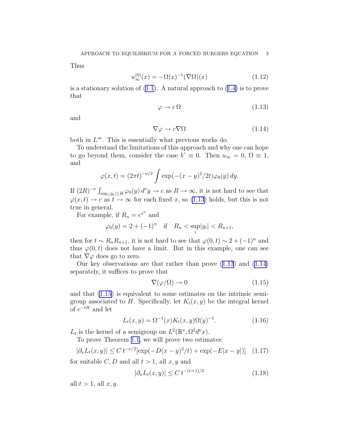<span id="page-2-0"></span>Thus

$$
u_{\infty}^{(0)}(x) = -\Omega(x)^{-1}(\nabla\Omega)(x)
$$
 (1.12)

is a stationary solution of  $(1.1)$  $(1.1)$ . A natural approach to  $(1.4)$  $(1.4)$  is to prove that

$$
\varphi \to c\,\Omega\tag{1.13}
$$

and

$$
\nabla \varphi \to c \nabla \Omega \tag{1.14}
$$

both in  $L^{\infty}$ . This is essentially what previous works do.

To understand the limitations of this approach and why one can hope to go beyond them, consider the case  $V \equiv 0$ . Then  $u_{\infty} = 0$ ,  $\Omega \equiv 1$ , and

$$
\varphi(x,t) = (2\pi t)^{-\nu/2} \int \exp(-(x-y)^2/2t)\varphi_0(y) \, dy.
$$

If  $(2R)^{-\nu} \int_{\sup_i |y_i| \le R} \varphi_0(y) d^{\nu}y \to c$  as  $R \to \infty$ , it is not hard to see that  $\varphi(x,t) \to c$  as  $t \to \infty$  for each fixed x, so (1.13) holds, but this is not true in general.

For example, if  $R_n = e^{e^n}$  and

$$
\varphi_0(y) = 2 + (-1)^n
$$
 if  $R_n < \sup_i |y_i| < R_{n+1}$ ,

then for  $t \sim R_n R_{n+1}$ , it is not hard to see that  $\varphi(0, t) \sim 2 + (-1)^n$  and thus  $\varphi(0, t)$  does not have a limit. But in this example, one can see that  $\nabla\varphi$  does go to zero.

Our key observations are that rather than prove (1.13) and (1.14) separately, it suffices to prove that

$$
\nabla(\varphi/\Omega) \to 0 \tag{1.15}
$$

and that (1.15) is equivalent to some estimates on the intrinsic semigroup associated to H. Specifically, let  $K_t(x, y)$  be the integral kernel of  $e^{-tH}$  and let

$$
L_t(x, y) = \Omega^{-1}(x) K_t(x, y) \Omega(y)^{-1}.
$$
 (1.16)

 $L_t$  is the kernel of a semigroup on  $L^2(\mathbb{R}^\nu, \Omega^2 d^\nu x)$ .

To prove Theorem [1.1,](#page-0-0) we will prove two estimates:

$$
|\partial_x L_t(x, y)| \le C t^{-\nu/2} [\exp(-D(x - y)^2/t) + \exp(-E|x - y|)] \quad (1.17)
$$

for suitable C, D and all  $t > 1$ , all  $x, y$  and

$$
|\partial_x L_t(x, y)| \le C \, t^{-(\nu + 1)/2} \tag{1.18}
$$

all  $t > 1$ , all  $x, y$ .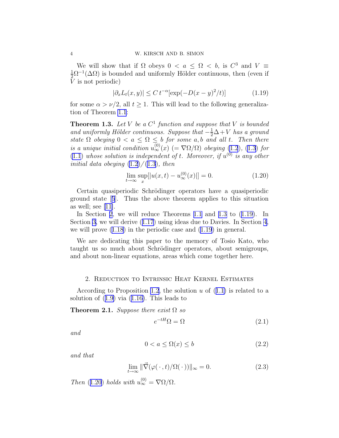<span id="page-3-0"></span>We will show that if  $\Omega$  obeys  $0 < a \leq \Omega < b$ , is  $C^3$  and  $V \equiv$  $\frac{1}{2}\Omega^{-1}(\Delta\Omega)$  is bounded and uniformly Hölder continuous, then (even if V is not periodic)

$$
|\partial_x L_t(x, y)| \le C t^{-\alpha} \left[ \exp(-D(x - y)^2/t) \right] \tag{1.19}
$$

for some  $\alpha > \nu/2$ , all  $t \geq 1$ . This will lead to the following generalization of Theorem [1.1](#page-0-0):

**Theorem 1.3.** Let V be a  $C^1$  function and suppose that V is bounded and uniformly Hölder continuous. Suppose that  $-\frac{1}{2}\Delta + V$  has a ground state  $\Omega$  obeying  $0 < a \leq \Omega \leq b$  for some a,b and all t. Then there is a unique initial condition  $u_{\infty}^{(0)}(x)$  (=  $\nabla \Omega/\Omega$ ) obeying [\(1.2](#page-0-0)), [\(1.3](#page-0-0)) for  $(1.1)$  $(1.1)$  whose solution is independent of t. Moreover, if  $u^{(0)}$  is any other initial data obeying  $(1.2)/(1.3)$  $(1.2)/(1.3)$  $(1.2)/(1.3)$  $(1.2)/(1.3)$ , then

$$
\lim_{t \to \infty} \sup_x [|u(x, t) - u_{\infty}^{(0)}(x)]| = 0.
$$
\n(1.20)

Certain quasiperiodic Schrödinger operators have a quasiperiodic ground state[[5](#page-7-0)]. Thus the above theorem applies to this situation as well; see  $[11]$ .

In Section 2, we will reduce Theorems [1.1](#page-0-0) and 1.3 to  $(1.19)$ . In Section [3](#page-5-0), we will derive ([1.17](#page-2-0)) using ideas due to Davies. In Section [4](#page-6-0), we will prove [\(1.18\)](#page-2-0) in the periodic case and (1.19) in general.

We are dedicating this paper to the memory of Tosio Kato, who taught us so much about Schrödinger operators, about semigroups, and about non-linear equations, areas which come together here.

### 2. Reduction to Intrinsic Heat Kernel Estimates

According to Proposition [1.2](#page-1-0), the solution  $u$  of  $(1.1)$  $(1.1)$  is related to a solution of ([1.9\)](#page-1-0) via ([1.16\)](#page-2-0). This leads to

Theorem 2.1. Suppose there exist  $\Omega$  so

$$
e^{-tH}\Omega = \Omega \tag{2.1}
$$

and

$$
0 < a \le \Omega(x) \le b \tag{2.2}
$$

and that

$$
\lim_{t \to \infty} \|\vec{\nabla}(\varphi(\,\cdot\,,t)/\Omega(\,\cdot\,))\|_{\infty} = 0.
$$
\n(2.3)

Then (1.20) holds with  $u_{\infty}^{(0)} = \nabla \Omega / \Omega$ .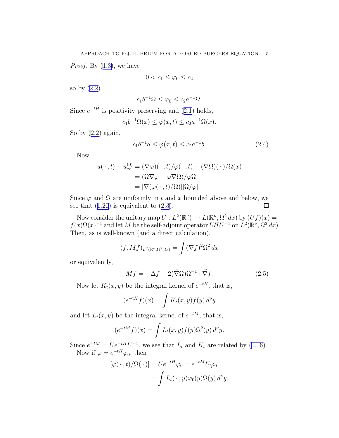<span id="page-4-0"></span>*Proof.* By  $(1.3)$  $(1.3)$ , we have

$$
0 < c_1 \leq \varphi_0 \leq c_2
$$

so by ([2.2](#page-3-0))

$$
c_1 b^{-1} \Omega \le \varphi_0 \le c_2 a^{-1} \Omega.
$$

Since  $e^{-tH}$  is positivity preserving and ([2.1\)](#page-3-0) holds,

$$
c_1 b^{-1} \Omega(x) \le \varphi(x, t) \le c_2 a^{-1} \Omega(x).
$$

So by  $(2.2)$  $(2.2)$  again,

$$
c_1 b^{-1} a \le \varphi(x, t) \le c_2 a^{-1} b. \tag{2.4}
$$

Now

$$
u(\cdot, t) - u_{\infty}^{(0)} = (\nabla \varphi)(\cdot, t) / \varphi(\cdot, t) - (\nabla \Omega)(\cdot) / \Omega(x)
$$
  
= 
$$
(\Omega \nabla \varphi - \varphi \nabla \Omega) / \varphi \Omega
$$
  
= 
$$
[\nabla (\varphi(\cdot, t) / \Omega)][\Omega/\varphi].
$$

Since  $\varphi$  and  $\Omega$  are uniformly in t and x bounded above and below, we see that  $(1.20)$  $(1.20)$  $(1.20)$  is equivalent to  $(2.3)$  $(2.3)$ . П

Now consider the unitary map  $U: L^2(\mathbb{R}^{\nu}) \to L(\mathbb{R}^{\nu}, \Omega^2 dx)$  by  $(Uf)(x) =$  $f(x)\Omega(x)^{-1}$  and let M be the self-adjoint operator  $UHU^{-1}$  on  $\dot{L}^2(\mathbb{R}^{\nu}, \Omega^2 dx)$ . Then, as is well-known (and a direct calculation),

$$
(f, Mf)_{L^2(\mathbb{R}^\nu, \Omega^2 dx)} = \int (\nabla f)^2 \Omega^2 dx
$$

or equivalently,

$$
Mf = -\Delta f - 2(\vec{\nabla}\Omega)\Omega^{-1} \cdot \vec{\nabla}f. \tag{2.5}
$$

Now let  $K_t(x, y)$  be the integral kernel of  $e^{-tH}$ , that is,

$$
(e^{-tH}f)(x) = \int K_t(x, y) f(y) d^{\nu}y
$$

and let  $L_t(x, y)$  be the integral kernel of  $e^{-tM}$ , that is,

$$
(e^{-tM}f)(x) = \int L_t(x,y)f(y)\Omega^2(y) d^{\nu}y.
$$

Since  $e^{-tM} = Ue^{-tH}U^{-1}$ , we see that  $L_t$  and  $K_t$  are related by [\(1.16](#page-2-0)). Now if  $\varphi = e^{-tH}\varphi_0$ , then

$$
[\varphi(\,\cdot\,,t)/\Omega(\,\cdot\,)] = U e^{-tH} \varphi_0 = e^{-tM} U \varphi_0
$$
  
= 
$$
\int L_t(\,\cdot\,,y) \varphi_0(y) \Omega(y) d^{\nu}y.
$$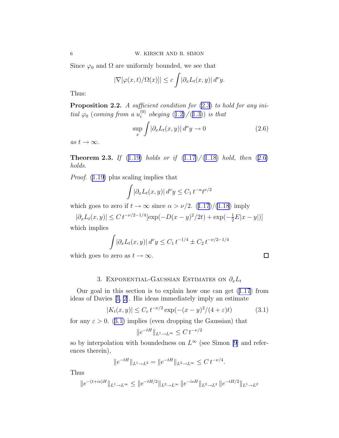<span id="page-5-0"></span>Since  $\varphi_0$  and  $\Omega$  are uniformly bounded, we see that

$$
|\nabla[\varphi(x,t)/\Omega(x)]| \le c \int |\partial_x L_t(x,y)| \, d^{\nu} y.
$$

Thus:

**Proposition 2.2.** A sufficient condition for  $(2.3)$  $(2.3)$  to hold for any initial  $\varphi_0$  (coming from a  $u_i^{(0)}$  $i_i^{(0)}$  obeying  $(1.2)/(1.3)$  $(1.2)/(1.3)$  $(1.2)/(1.3)$  $(1.2)/(1.3)$ ) is that

$$
\sup_{x} \int |\partial_x L_t(x, y)| \, d^{\nu} y \to 0 \tag{2.6}
$$

as  $t \to \infty$ .

**Theorem 2.3.** If  $(1.19)$  $(1.19)$  holds or if  $(1.17)/(1.18)$  $(1.17)/(1.18)$  $(1.17)/(1.18)$  hold, then  $(2.6)$ holds.

Proof. [\(1.19\)](#page-3-0) plus scaling implies that

$$
\int |\partial_x L_t(x, y)| \, d^{\nu} y \le C_1 \, t^{-\alpha} t^{\nu/2}
$$

which goes to zero if  $t \to \infty$  since  $\alpha > \nu/2$ . ([1.17](#page-2-0))/[\(1.18](#page-2-0)) imply

$$
|\partial_x L_t(x, y)| \le C t^{-\nu/2 - 1/4} [\exp(-D(x - y)^2 / 2t) + \exp(-\frac{1}{2}E|x - y|)]
$$

which implies

$$
\int |\partial_x L_t(x, y)| \, d^{\nu} y \le C_1 \, t^{-1/4} \pm C_2 \, t^{-\nu/2 - 1/4}
$$

which goes to zero as  $t \to \infty$ .

# 3. EXPONENTIAL-GAUSSIAN ESTIMATES ON  $\partial_x L_t$

Our goal in this section is to explain how one can get ([1.17](#page-2-0)) from ideas of Davies [\[1](#page-7-0), [2](#page-7-0)]. His ideas immediately imply an estimate

$$
|K_t(x,y)| \le C_{\varepsilon} t^{-\nu/2} \exp(-(x-y)^2/(4+\varepsilon)t)
$$
 (3.1)

for any  $\varepsilon > 0$ . (3.1) implies (even dropping the Gaussian) that

$$
||e^{-tH}||_{L^1 \to L^\infty} \leq C t^{-\nu/2}
$$

so by interpolation with boundedness on  $L^{\infty}$  (see Simon [\[9](#page-8-0)] and references therein),

$$
||e^{-tH}||_{L^1 \to L^2} = ||e^{-tH}||_{L^2 \to L^\infty} \le C t^{-\nu/4}.
$$

Thus

$$
||e^{-(t+is)H}||_{L^1 \to L^\infty} \le ||e^{-tH/2}||_{L^2 \to L^\infty} ||e^{-isH}||_{L^2 \to L^2} ||e^{-tH/2}||_{L^1 \to L^2}
$$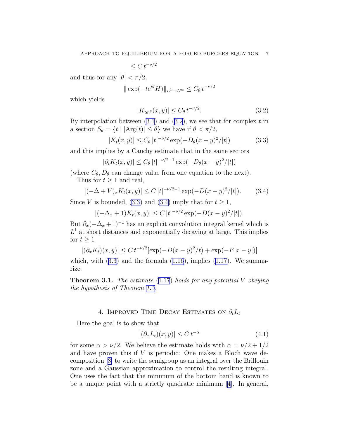$\leq C t^{-\nu/2}$ 

<span id="page-6-0"></span>and thus for any  $|\theta| < \pi/2$ ,

$$
\|\exp(-te^{i\theta}H)\|_{L^1\to L^\infty}\leq C_\theta\,t^{-\nu/2}
$$

which yields

$$
|K_{te^{i\theta}}(x,y)| \le C_{\theta} t^{-\nu/2}.
$$
\n
$$
(3.2)
$$

By interpolation between  $(3.1)$  $(3.1)$  and  $(3.2)$ , we see that for complex t in a section  $S_{\theta} = \{t \mid |\text{Arg}(t)| \leq \theta\}$  we have if  $\theta < \pi/2$ ,

$$
|K_t(x,y)| \le C_\theta |t|^{-\nu/2} \exp(-D_\theta (x-y)^2/|t|)
$$
 (3.3)

and this implies by a Cauchy estimate that in the same sectors

$$
|\partial_t K_t(x, y)| \le C_\theta |t|^{-\nu/2 - 1} \exp(-D_\theta (x - y)^2 / |t|)
$$

(where  $C_{\theta}, D_{\theta}$  can change value from one equation to the next). Thus for  $t \geq 1$  and real,

$$
|(-\Delta + V)_x K_t(x, y)| \le C |t|^{-\nu/2 - 1} \exp(-D(x - y)^2/|t|). \tag{3.4}
$$

Since V is bounded, (3.3) and (3.4) imply that for  $t \geq 1$ ,

$$
|(-\Delta_x + 1)K_t(x, y)| \le C |t|^{-\nu/2} \exp(-D(x - y)^2/|t|).
$$

But  $\partial_x(-\Delta_x+1)^{-1}$  has an explicit convolution integral kernel which is  $L<sup>1</sup>$  at short distances and exponentially decaying at large. This implies for  $t \geq 1$ 

$$
|(\partial_x K_t)(x, y)| \le C t^{-\nu/2} [\exp(-D(x - y)^2/t) + \exp(-E|x - y|)]
$$

which, with  $(3.3)$  and the formula  $(1.16)$  $(1.16)$ , implies  $(1.17)$  $(1.17)$ . We summarize:

**Theorem 3.1.** The estimate  $(1.17)$  $(1.17)$  holds for any potential V obeying the hypothesis of Theorem [1.3.](#page-3-0)

### 4. IMPROVED TIME DECAY ESTIMATES ON  $\partial_t L_t$

Here the goal is to show that

$$
|(\partial_x L_t)(x, y)| \le C t^{-\alpha} \tag{4.1}
$$

for some  $\alpha > \nu/2$ . We believe the estimate holds with  $\alpha = \nu/2 + 1/2$ and have proven this if  $V$  is periodic: One makes a Bloch wave decomposition[[8\]](#page-8-0) to write the semigroup as an integral over the Brillouin zone and a Gaussian approximation to control the resulting integral. One uses the fact that the minimum of the bottom band is known to be a unique point with a strictly quadratic minimum [\[4\]](#page-7-0). In general,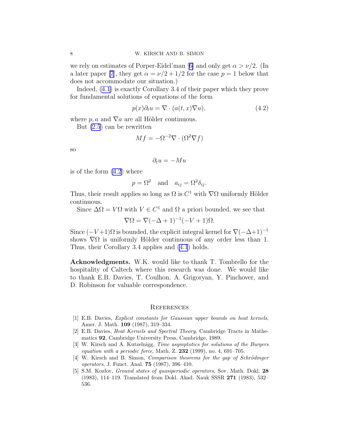<span id="page-7-0"></span>werely on estimates of Porper-Eidel'man [[6\]](#page-8-0) and only get  $\alpha > \nu/2$ . (In a later paper [\[7](#page-8-0)], they get  $\alpha = \nu/2 + 1/2$  for the case  $p = 1$  below that does not accommodate our situation.)

Indeed, ([4.1\)](#page-6-0) is exactly Corollary 3.4 of their paper which they prove for fundamental solutions of equations of the form

$$
p(x)\partial_t u = \nabla \cdot (a(t, x)\nabla u),\tag{4.2}
$$

where p, a and  $\nabla a$  are all Hölder continuous.

But [\(2.5](#page-4-0)) can be rewritten

$$
Mf = -\Omega^{-2} \nabla \cdot (\Omega^2 \nabla f)
$$

so

$$
\partial_t u = -Mu
$$

is of the form (4.2) where

$$
p = \Omega^2
$$
 and  $a_{ij} = \Omega^2 \delta_{ij}$ .

Thus, their result applies so long as  $\Omega$  is  $C^1$  with  $\nabla\Omega$  uniformly Hölder continuous.

Since  $\Delta \Omega = V \Omega$  with  $V \in C^1$  and  $\Omega$  a priori bounded, we see that

$$
\nabla \Omega = \nabla (-\Delta + 1)^{-1} (-V + 1)\Omega.
$$

Since  $(-V+1)\Omega$  is bounded, the explicit integral kernel for  $\nabla(-\Delta+1)^{-1}$ shows  $\nabla \Omega$  is uniformly Hölder continuous of any order less than 1. Thus, their Corollary 3.4 applies and [\(4.1](#page-6-0)) holds.

Acknowledgments. W.K. would like to thank T. Tombrello for the hospitality of Caltech where this research was done. We would like to thank E.B. Davies, T. Coulhon, A. Grigoryan, Y. Pinchover, and D. Robinson for valuable correspondence.

### **REFERENCES**

- [1] E.B. Davies, Explicit constants for Gaussian upper bounds on heat kernels, Amer. J. Math. 109 (1987), 319–334.
- [2] E.B. Davies, Heat Kernels and Spectral Theory, Cambridge Tracts in Mathematics 92, Cambridge University Press, Cambridge, 1989.
- [3] W. Kirsch and A. Kutzelnigg, Time asymptotics for solutions of the Burgers equation with a periodic force, Math. Z.  $232$  (1999), no. 4, 691–705.
- [4] W. Kirsch and B. Simon, Comparison theorems for the gap of Schrödinger operators, J. Funct. Anal. 75 (1987), 396–410.
- [5] S.M. Kozlov, Ground states of quasiperiodic operators, Sov. Math. Dokl. 28 (1983), 114–119. Translated from Dokl. Akad. Nauk SSSR 271 (1983), 532– 536.